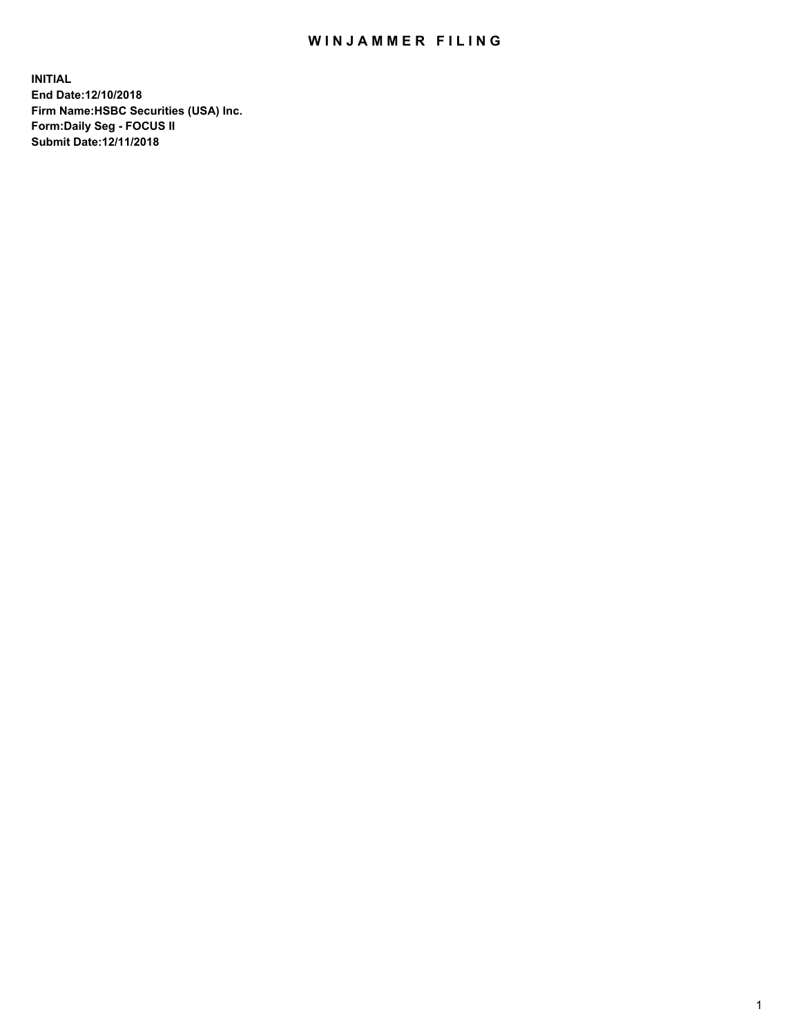## WIN JAMMER FILING

**INITIAL End Date:12/10/2018 Firm Name:HSBC Securities (USA) Inc. Form:Daily Seg - FOCUS II Submit Date:12/11/2018**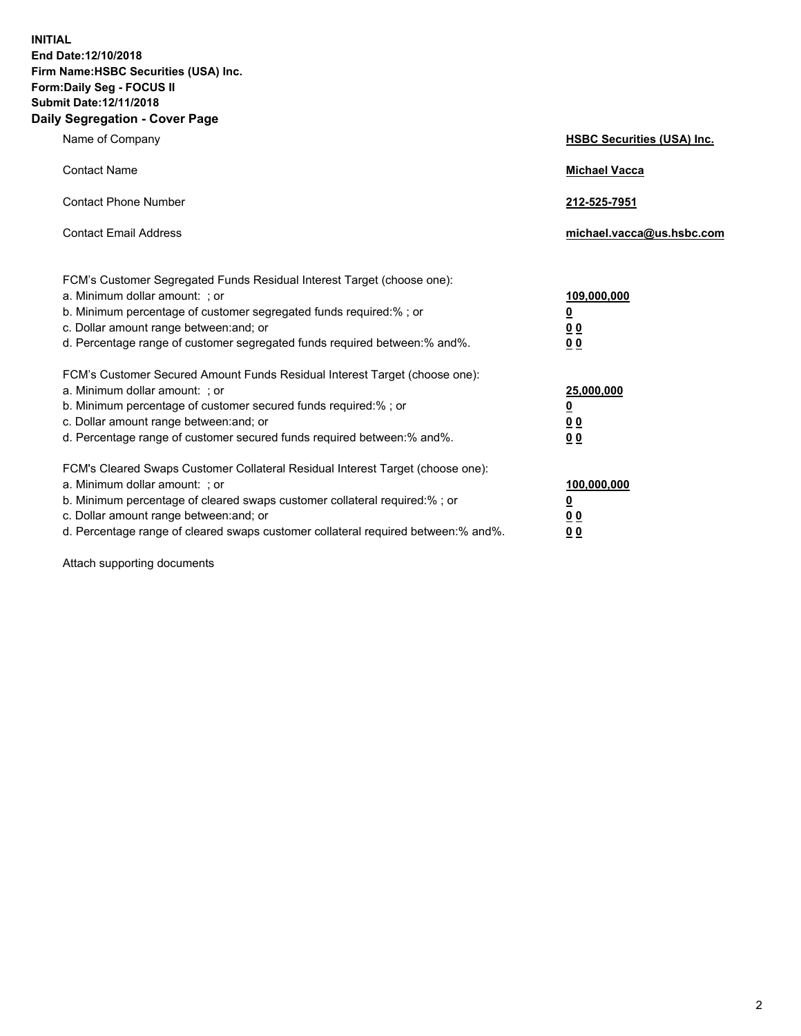**INITIAL End Date:12/10/2018 Firm Name:HSBC Securities (USA) Inc. Form:Daily Seg - FOCUS II Submit Date:12/11/2018 Daily Segregation - Cover Page**

| Name of Company                                                                                                                                                                                                                                                                                                                | <b>HSBC Securities (USA) Inc.</b>                                           |
|--------------------------------------------------------------------------------------------------------------------------------------------------------------------------------------------------------------------------------------------------------------------------------------------------------------------------------|-----------------------------------------------------------------------------|
| <b>Contact Name</b>                                                                                                                                                                                                                                                                                                            | <b>Michael Vacca</b>                                                        |
| <b>Contact Phone Number</b>                                                                                                                                                                                                                                                                                                    | 212-525-7951                                                                |
| <b>Contact Email Address</b>                                                                                                                                                                                                                                                                                                   | michael.vacca@us.hsbc.com                                                   |
| FCM's Customer Segregated Funds Residual Interest Target (choose one):<br>a. Minimum dollar amount: ; or<br>b. Minimum percentage of customer segregated funds required:% ; or<br>c. Dollar amount range between: and; or<br>d. Percentage range of customer segregated funds required between:% and%.                         | 109,000,000<br>$\underline{\mathbf{0}}$<br>0 <sub>0</sub><br>0 <sub>0</sub> |
| FCM's Customer Secured Amount Funds Residual Interest Target (choose one):<br>a. Minimum dollar amount: ; or<br>b. Minimum percentage of customer secured funds required:%; or<br>c. Dollar amount range between: and; or<br>d. Percentage range of customer secured funds required between:% and%.                            | 25,000,000<br><u>0</u><br>0 <sub>0</sub><br>00                              |
| FCM's Cleared Swaps Customer Collateral Residual Interest Target (choose one):<br>a. Minimum dollar amount: ; or<br>b. Minimum percentage of cleared swaps customer collateral required:% ; or<br>c. Dollar amount range between: and; or<br>d. Percentage range of cleared swaps customer collateral required between:% and%. | 100,000,000<br><u>0</u><br><u>00</u><br>00                                  |

Attach supporting documents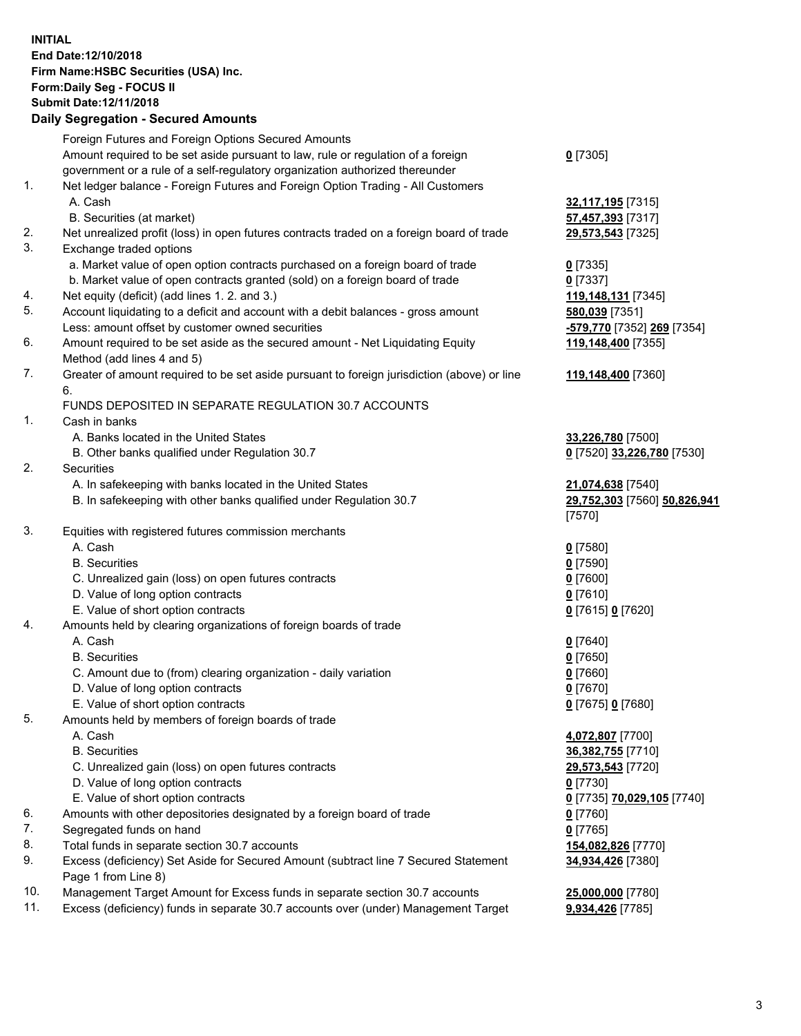**INITIAL End Date:12/10/2018 Firm Name:HSBC Securities (USA) Inc. Form:Daily Seg - FOCUS II Submit Date:12/11/2018 Daily Segregation - Secured Amounts** Foreign Futures and Foreign Options Secured Amounts Amount required to be set aside pursuant to law, rule or regulation of a foreign government or a rule of a self-regulatory organization authorized thereunder **0** [7305] 1. Net ledger balance - Foreign Futures and Foreign Option Trading - All Customers A. Cash **32,117,195** [7315] B. Securities (at market) **57,457,393** [7317] 2. Net unrealized profit (loss) in open futures contracts traded on a foreign board of trade **29,573,543** [7325] 3. Exchange traded options a. Market value of open option contracts purchased on a foreign board of trade **0** [7335] b. Market value of open contracts granted (sold) on a foreign board of trade **0** [7337] 4. Net equity (deficit) (add lines 1. 2. and 3.) **119,148,131** [7345] 5. Account liquidating to a deficit and account with a debit balances - gross amount **580,039** [7351] Less: amount offset by customer owned securities **-579,770** [7352] **269** [7354] 6. Amount required to be set aside as the secured amount - Net Liquidating Equity Method (add lines 4 and 5) **119,148,400** [7355] 7. Greater of amount required to be set aside pursuant to foreign jurisdiction (above) or line 6. **119,148,400** [7360] FUNDS DEPOSITED IN SEPARATE REGULATION 30.7 ACCOUNTS 1. Cash in banks A. Banks located in the United States **33,226,780** [7500] B. Other banks qualified under Regulation 30.7 **0** [7520] **33,226,780** [7530] 2. Securities A. In safekeeping with banks located in the United States **21,074,638** [7540] B. In safekeeping with other banks qualified under Regulation 30.7 **29,752,303** [7560] **50,826,941** [7570] 3. Equities with registered futures commission merchants A. Cash **0** [7580] B. Securities **0** [7590] C. Unrealized gain (loss) on open futures contracts **0** [7600] D. Value of long option contracts **0** [7610] E. Value of short option contracts **0** [7615] **0** [7620] 4. Amounts held by clearing organizations of foreign boards of trade A. Cash **0** [7640] B. Securities **0** [7650] C. Amount due to (from) clearing organization - daily variation **0** [7660] D. Value of long option contracts **0** [7670] E. Value of short option contracts **0** [7675] **0** [7680] 5. Amounts held by members of foreign boards of trade A. Cash **4,072,807** [7700] B. Securities **36,382,755** [7710] C. Unrealized gain (loss) on open futures contracts **29,573,543** [7720] D. Value of long option contracts **0** [7730] E. Value of short option contracts **0** [7735] **70,029,105** [7740] 6. Amounts with other depositories designated by a foreign board of trade **0** [7760] 7. Segregated funds on hand **0** [7765]

- 8. Total funds in separate section 30.7 accounts **154,082,826** [7770]
- 9. Excess (deficiency) Set Aside for Secured Amount (subtract line 7 Secured Statement Page 1 from Line 8)
- 10. Management Target Amount for Excess funds in separate section 30.7 accounts **25,000,000** [7780]
- 11. Excess (deficiency) funds in separate 30.7 accounts over (under) Management Target **9,934,426** [7785]

**34,934,426** [7380]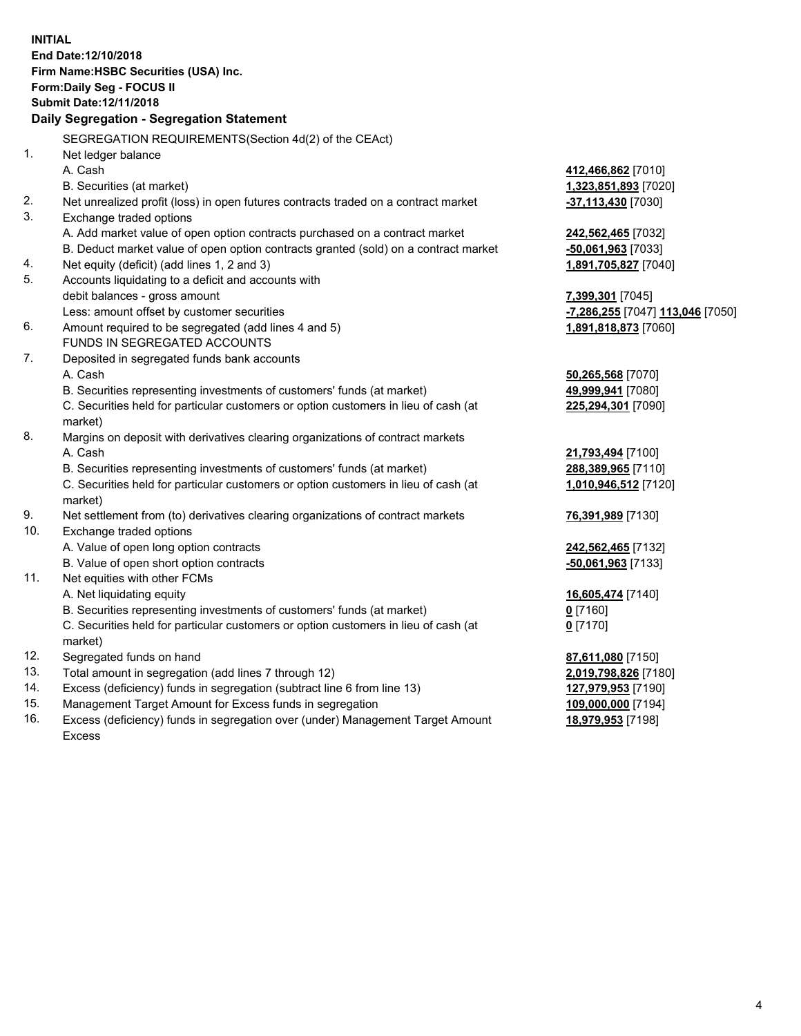**INITIAL End Date:12/10/2018 Firm Name:HSBC Securities (USA) Inc. Form:Daily Seg - FOCUS II Submit Date:12/11/2018 Daily Segregation - Segregation Statement** SEGREGATION REQUIREMENTS(Section 4d(2) of the CEAct) 1. Net ledger balance A. Cash **412,466,862** [7010] B. Securities (at market) **1,323,851,893** [7020] 2. Net unrealized profit (loss) in open futures contracts traded on a contract market **-37,113,430** [7030] 3. Exchange traded options A. Add market value of open option contracts purchased on a contract market **242,562,465** [7032] B. Deduct market value of open option contracts granted (sold) on a contract market **-50,061,963** [7033] 4. Net equity (deficit) (add lines 1, 2 and 3) **1,891,705,827** [7040] 5. Accounts liquidating to a deficit and accounts with debit balances - gross amount **7,399,301** [7045] Less: amount offset by customer securities **-7,286,255** [7047] **113,046** [7050] 6. Amount required to be segregated (add lines 4 and 5) **1,891,818,873** [7060] FUNDS IN SEGREGATED ACCOUNTS 7. Deposited in segregated funds bank accounts A. Cash **50,265,568** [7070] B. Securities representing investments of customers' funds (at market) **49,999,941** [7080] C. Securities held for particular customers or option customers in lieu of cash (at market) **225,294,301** [7090] 8. Margins on deposit with derivatives clearing organizations of contract markets A. Cash **21,793,494** [7100] B. Securities representing investments of customers' funds (at market) **288,389,965** [7110] C. Securities held for particular customers or option customers in lieu of cash (at market) **1,010,946,512** [7120] 9. Net settlement from (to) derivatives clearing organizations of contract markets **76,391,989** [7130] 10. Exchange traded options A. Value of open long option contracts **242,562,465** [7132] B. Value of open short option contracts **-50,061,963** [7133] 11. Net equities with other FCMs A. Net liquidating equity **16,605,474** [7140] B. Securities representing investments of customers' funds (at market) **0** [7160] C. Securities held for particular customers or option customers in lieu of cash (at market) **0** [7170] 12. Segregated funds on hand **87,611,080** [7150] 13. Total amount in segregation (add lines 7 through 12) **2,019,798,826** [7180] 14. Excess (deficiency) funds in segregation (subtract line 6 from line 13) **127,979,953** [7190] 15. Management Target Amount for Excess funds in segregation **109,000,000** [7194]

16. Excess (deficiency) funds in segregation over (under) Management Target Amount Excess

**18,979,953** [7198]